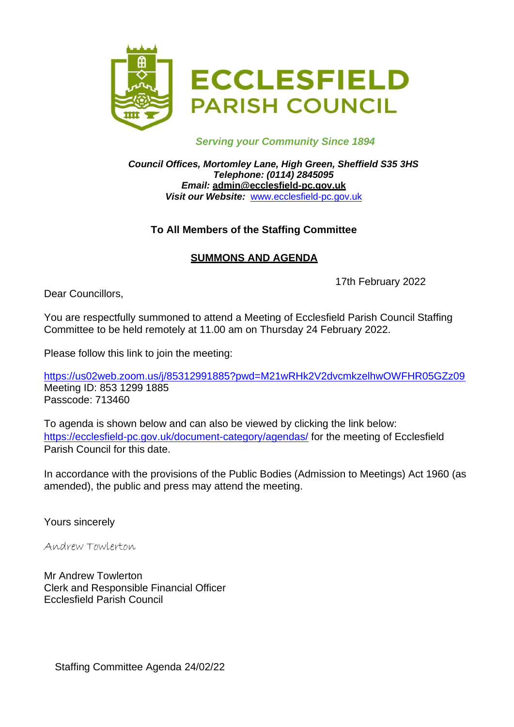

#### *Serving your Community Since 1894*

*Council Offices, Mortomley Lane, High Green, Sheffield S35 3HS Telephone: (0114) 2845095 Email:* **[admin@ecclesfield-pc.gov.uk](mailto:admin@ecclesfield-pc.gov.uk)** *Visit our Website:* [www.ecclesfield-pc.gov.uk](http://www.ecclesfield-pc.gov.uk/)

### **To All Members of the Staffing Committee**

# **SUMMONS AND AGENDA**

17th February 2022

Dear Councillors,

You are respectfully summoned to attend a Meeting of Ecclesfield Parish Council Staffing Committee to be held remotely at 11.00 am on Thursday 24 February 2022.

Please follow this link to join the meeting:

<https://us02web.zoom.us/j/85312991885?pwd=M21wRHk2V2dvcmkzelhwOWFHR05GZz09> Meeting ID: 853 1299 1885 Passcode: 713460

To agenda is shown below and can also be viewed by clicking the link below: <https://ecclesfield-pc.gov.uk/document-category/agendas/> for the meeting of Ecclesfield Parish Council for this date.

In accordance with the provisions of the Public Bodies (Admission to Meetings) Act 1960 (as amended), the public and press may attend the meeting.

Yours sincerely

Andrew Towlerton

Mr Andrew Towlerton Clerk and Responsible Financial Officer Ecclesfield Parish Council

Staffing Committee Agenda 24/02/22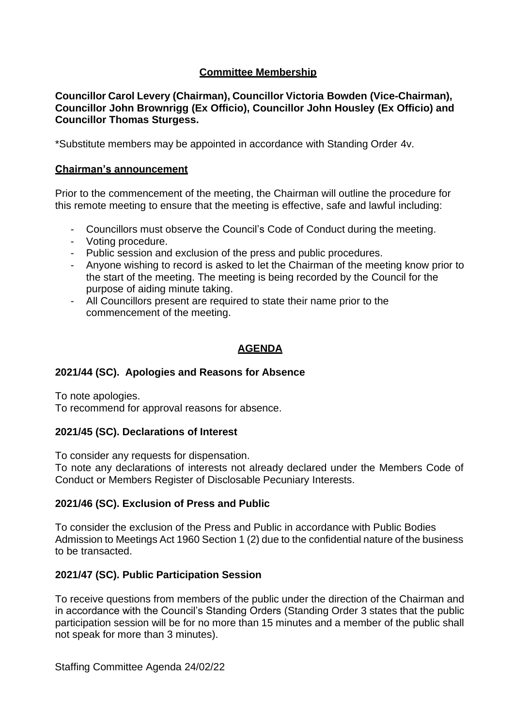### **Committee Membership**

**Councillor Carol Levery (Chairman), Councillor Victoria Bowden (Vice-Chairman), Councillor John Brownrigg (Ex Officio), Councillor John Housley (Ex Officio) and Councillor Thomas Sturgess.**

\*Substitute members may be appointed in accordance with Standing Order 4v.

#### **Chairman's announcement**

Prior to the commencement of the meeting, the Chairman will outline the procedure for this remote meeting to ensure that the meeting is effective, safe and lawful including:

- Councillors must observe the Council's Code of Conduct during the meeting.
- Voting procedure.
- Public session and exclusion of the press and public procedures.
- Anyone wishing to record is asked to let the Chairman of the meeting know prior to the start of the meeting. The meeting is being recorded by the Council for the purpose of aiding minute taking.
- All Councillors present are required to state their name prior to the commencement of the meeting.

### **AGENDA**

#### **2021/44 (SC). Apologies and Reasons for Absence**

To note apologies.

To recommend for approval reasons for absence.

#### **2021/45 (SC). Declarations of Interest**

To consider any requests for dispensation.

To note any declarations of interests not already declared under the Members Code of Conduct or Members Register of Disclosable Pecuniary Interests.

#### **2021/46 (SC). Exclusion of Press and Public**

To consider the exclusion of the Press and Public in accordance with Public Bodies Admission to Meetings Act 1960 Section 1 (2) due to the confidential nature of the business to be transacted.

#### **2021/47 (SC). Public Participation Session**

To receive questions from members of the public under the direction of the Chairman and in accordance with the Council's Standing Orders (Standing Order 3 states that the public participation session will be for no more than 15 minutes and a member of the public shall not speak for more than 3 minutes).

Staffing Committee Agenda 24/02/22